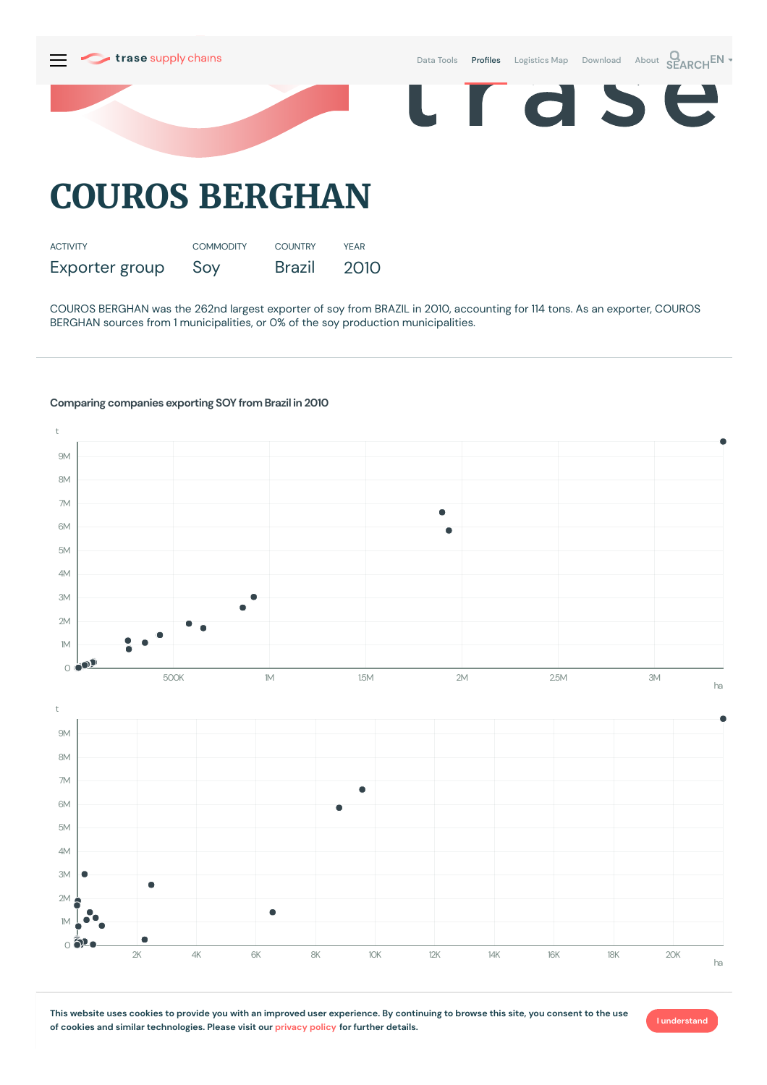

COUROS BERGHAN was the 262nd largest exporter of soy from BRAZIL in 2010, accounting for 114 tons. As an exporter, COUROS BERGHAN sources from 1 municipalities, or 0% of the soy production municipalities.

## **Comparing companies exporting SOY from Brazil in 2010**



This website uses cookies to provide you with an improved user experience. By continuing to browse this site, you consent to the use **of cookies and similar technologies. Please visit our [privacy](https://www.trase.earth/privacy-policy) policy for further details.**

**I understand**